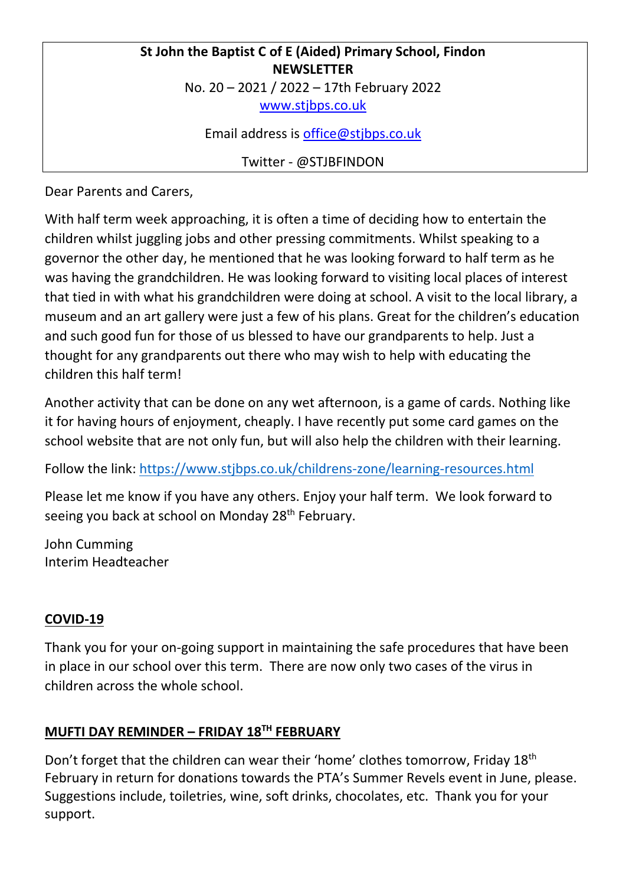# **St John the Baptist C of E (Aided) Primary School, Findon NEWSLETTER** No. 20 – 2021 / 2022 – 17th February 2022 [www.stjbps.co.uk](http://www.stjbps.co.uk/)

Email address is [office@stjbps.co.uk](mailto:office@stjbps.co.uk)

Twitter - @STJBFINDON

Dear Parents and Carers,

With half term week approaching, it is often a time of deciding how to entertain the children whilst juggling jobs and other pressing commitments. Whilst speaking to a governor the other day, he mentioned that he was looking forward to half term as he was having the grandchildren. He was looking forward to visiting local places of interest that tied in with what his grandchildren were doing at school. A visit to the local library, a museum and an art gallery were just a few of his plans. Great for the children's education and such good fun for those of us blessed to have our grandparents to help. Just a thought for any grandparents out there who may wish to help with educating the children this half term!

Another activity that can be done on any wet afternoon, is a game of cards. Nothing like it for having hours of enjoyment, cheaply. I have recently put some card games on the school website that are not only fun, but will also help the children with their learning.

Follow the link:<https://www.stjbps.co.uk/childrens-zone/learning-resources.html>

Please let me know if you have any others. Enjoy your half term. We look forward to seeing you back at school on Monday 28<sup>th</sup> February.

John Cumming Interim Headteacher

# **COVID-19**

Thank you for your on-going support in maintaining the safe procedures that have been in place in our school over this term. There are now only two cases of the virus in children across the whole school.

# **MUFTI DAY REMINDER – FRIDAY 18TH FEBRUARY**

Don't forget that the children can wear their 'home' clothes tomorrow, Friday 18<sup>th</sup> February in return for donations towards the PTA's Summer Revels event in June, please. Suggestions include, toiletries, wine, soft drinks, chocolates, etc. Thank you for your support.